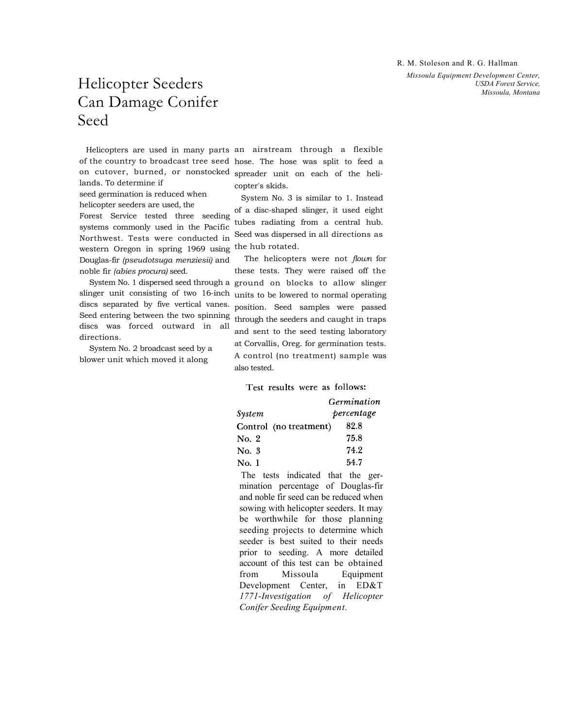R. M. Stoleson and R. G. Hallman

*Missoula Equipment Development Center, USDA Forest Service, Missoula, Montana* 

## Helicopter Seeders Can Damage Conifer Seed

lands. To determine if

seed germination is reduced when helicopter seeders are used, the

Forest Service tested three seeding systems commonly used in the Pacific Northwest. Tests were conducted in western Oregon in spring 1969 using Douglas-fir *(pseudotsuga menziesii)* and noble fir *(abies procura)* seed.

System No. 1 dispersed seed through a slinger unit consisting of two 16-inch discs separated by five vertical vanes. Seed entering between the two spinning discs was forced outward in all directions.

System No. 2 broadcast seed by a blower unit which moved it along

Helicopters are used in many parts an airstream through a flexible of the country to broadcast tree seed hose. The hose was split to feed a on cutover, burned, or nonstocked spreader unit on each of the helicopter's skids.

> System No. 3 is similar to 1. Instead of a disc-shaped slinger, it used eight tubes radiating from a central hub. Seed was dispersed in all directions as the hub rotated.

The helicopters were not *flown* for these tests. They were raised off the ground on blocks to allow slinger units to be lowered to normal operating position. Seed samples were passed through the seeders and caught in traps and sent to the seed testing laboratory at Corvallis, Oreg. for germination tests. A control (no treatment) sample was also tested.

Test results were as follows:

|        |                        | Germination |  |
|--------|------------------------|-------------|--|
| System | percentage             |             |  |
|        | Control (no treatment) | 82.8        |  |
| No. 2  |                        | 75.8        |  |
| No. 3  |                        | 74.2        |  |
| No. 1  |                        | 54.7        |  |

The tests indicated that the germination percentage of Douglas-fir and noble fir seed can be reduced when sowing with helicopter seeders. It may be worthwhile for those planning seeding projects to determine which seeder is best suited to their needs prior to seeding. A more detailed account of this test can be obtained from Missoula Equipment Development Center, in ED&T *1771-Investigation of Helicopter Conifer Seeding Equipment.*